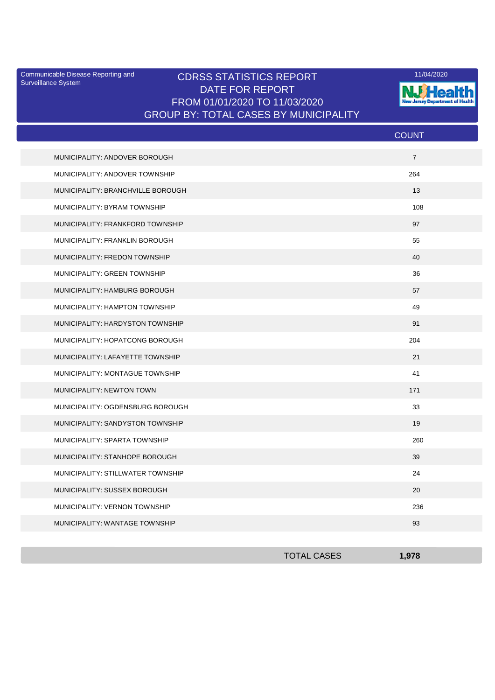Surveillance System

## Communicable Disease Reporting and **CDRSS STATISTICS REPORT** 11/04/2020<br>Curreillance Statem DATE FOR REPORT FROM 01/01/2020 TO 11/03/2020 GROUP BY: TOTAL CASES BY MUNICIPALITY



|                                   | <b>COUNT</b>   |
|-----------------------------------|----------------|
| MUNICIPALITY: ANDOVER BOROUGH     | $\overline{7}$ |
| MUNICIPALITY: ANDOVER TOWNSHIP    | 264            |
| MUNICIPALITY: BRANCHVILLE BOROUGH | 13             |
| MUNICIPALITY: BYRAM TOWNSHIP      | 108            |
| MUNICIPALITY: FRANKFORD TOWNSHIP  | 97             |
| MUNICIPALITY: FRANKLIN BOROUGH    | 55             |
| MUNICIPALITY: FREDON TOWNSHIP     | 40             |
| MUNICIPALITY: GREEN TOWNSHIP      | 36             |
| MUNICIPALITY: HAMBURG BOROUGH     | 57             |
| MUNICIPALITY: HAMPTON TOWNSHIP    | 49             |
| MUNICIPALITY: HARDYSTON TOWNSHIP  | 91             |
| MUNICIPALITY: HOPATCONG BOROUGH   | 204            |
| MUNICIPALITY: LAFAYETTE TOWNSHIP  | 21             |
| MUNICIPALITY: MONTAGUE TOWNSHIP   | 41             |
| <b>MUNICIPALITY: NEWTON TOWN</b>  | 171            |
| MUNICIPALITY: OGDENSBURG BOROUGH  | 33             |
| MUNICIPALITY: SANDYSTON TOWNSHIP  | 19             |
| MUNICIPALITY: SPARTA TOWNSHIP     | 260            |
| MUNICIPALITY: STANHOPE BOROUGH    | 39             |
| MUNICIPALITY: STILLWATER TOWNSHIP | 24             |
| MUNICIPALITY: SUSSEX BOROUGH      | 20             |
| MUNICIPALITY: VERNON TOWNSHIP     | 236            |
| MUNICIPALITY: WANTAGE TOWNSHIP    | 93             |

| <b>TOTAL CASES</b> | 1,978 |
|--------------------|-------|
|                    |       |